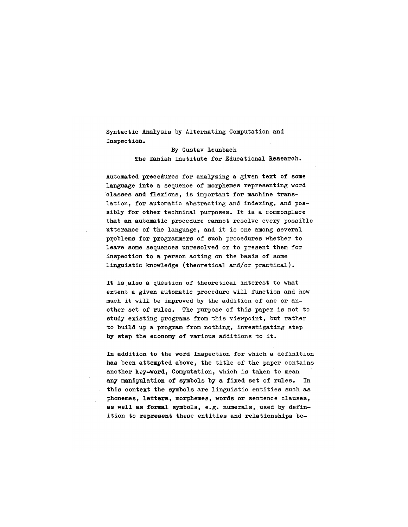Syntactic Analysis by Alternating Computation and Inspection.

> By Gustav leunbach The Danish Institute for Educational Research.

Automated precedures for analyzing a given text of some language into a sequence of morphemes representing word classes and flexions, is important for machine translation, for automatic abstracting and indexing, and possibly for other technical purposes. It is a commonplace that an automatic procedure cannot resolve every possible utterance of the language, and it is one among several problems for programmers of such procedures whether to leave some sequences unresolved or to present them for inspection to a person acting on the basis of some linguistic knowledge (theoretical and/or practical).

It Is also a question of theoretical interest to what extent a given automatic procedure will function and how much it will be improved by the addition of one or another set of rules. The purpose of this paper is not to study existing programs from this viewpoint, but rather to build up a program from nothing, investigating step by step the economy of various additions to it.

In addition to the word Inspection for which a definition has been attempted above, the title of the paper contains another key-word, Computation, which is taken to mean any mamipulation of symbols by a fixed set of rules. In this context the symbols are linguistic entities such as phonemes, letters, morphemes, words or sentence clauses, as well as formal symbols, e.g. numerals, used by definition to represent these entities and relationships be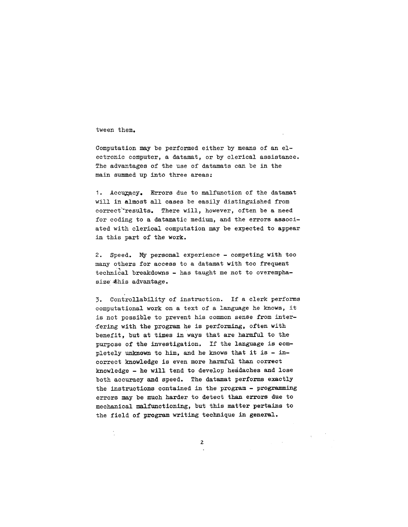tween them.

Computation may be performed either by means of an electronic computer, a datamat, or by clerical assistance. The advantages of the use of datamats can be in the main summed up into three areas:

]. Accuracy. Errors due to malfunction of the datamat will in almost all cases be easily distinguished from correct~results. There will, however, often be a need for coding to a datamatic medium, and the errors associated with clerical computation may be expected to appear in this part of the work.

2. Speed. My personal experience - competing with too many others for access to a datamat with too frequent technical breakdowns - has taught me not to overemphasize  $#$ his advantage.

3. Controllability of instruction. If a clerk performs computational work on a text of a language he knows, it is not possible to prevent his common sense from inter fering with the program he is performing, often with benefit, but at times in ways that are harmful to the purpose of the investigation. If the lamguage is completely unknown to him, and he knows that it is - incorrect knowledge is even more harmful than correct knowledge - he will tend to develop headaches and lose both accuracy and speed. The datamat performs exactly the instructions contained in the program - programming errors may be much harder to detect tham errors due to mechanical malfunctioning, but this matter pertains to the field of program writing technique in general.

 $\overline{2}$ 

 $\sim$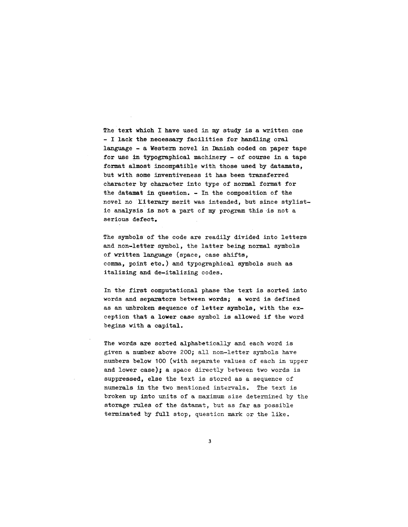The text which I have used in my study is a written one **-** I lack the necessary facilities for handling oral language - a Western novel in Danish coded on paper tape for use in typographical machinery - of course in a tape format almost incompatible with those used by datamats, but with some inventiveness it has been transferred character by character into type of normal format for the datamat in question. - In the composition of the novel no "Literary merit was intended, but since stylistic analysis is not a part of my program this is not a serious defect.

The symbols of the code are readily divided into letters and non-letter symbol, the latter being normal symbols of written language (space, case shifts, comma, point etc.) and typographical symbols such as italizing and de-italizing codes.

In the first computational phase the text is sorted into words and separators between words; a word is defined as an unbroken sequence of letter symbols, with the exception that a lower case symbol is allowed if the word begins with a capital.

The words are sorted alphabetically and each word is given a number above 200; all non-letter symbols have numbers below 100 (with separate values of each in upper and lower case); a space directly between two words is suppressed, else the text is stored as a sequence of numerals in the two mentioned intervals. The text is broken up into units of a maximum size determined by the storage rules of the datamat, but as far as possible terminated by full stop, question mark or the like.

 $\overline{\mathbf{3}}$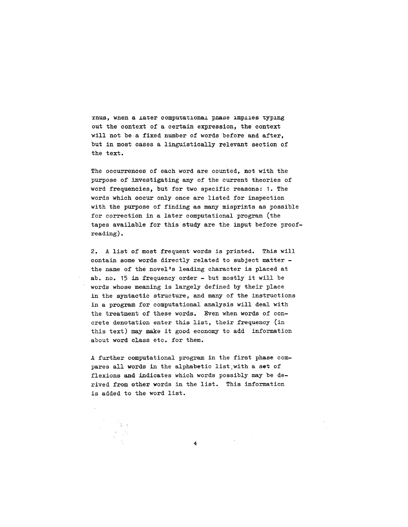Thus, when a later computational phase implies typing out the context of a certain expression, the context will not be a fixed number of words before and after, but in most cases a linguistically relevant section of the text.

The occurrences of each word are counted, not with the purpose of investigating any of the current theories of word frequencies, but for two specific reasons: I. The words which occur only once are listed for inspection with the purpose of finding as many misprints as possible for correction in a later computational program (the tapes available for this study are the input before proofreading).

2. A list of most frequent words is printed. This will contain some words directly related to subject matter the name of the novel's leading character is placed at ab. no. 15 in frequency order - but mostly it will be words whose meaning is largely defined by their place in the syntactic structure, and many of the instructions in a program for computational analysis will deal with the treatment of these words. Even when words of concrete denotation enter this list, their frequency (in this text) may make it good economy to add information about word class etc. for them.

A further computational program in the first phase compares all words in the alphabetic list,with a set of flexions and indicates which words possibly may be derived from ether words in the list. This information is added to the word list.

 $\overline{\bf{4}}$ 

II~I x llr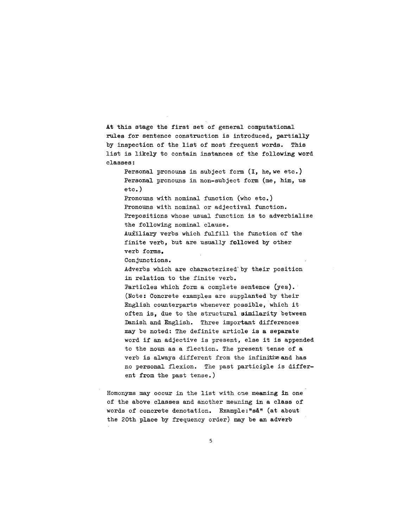At this stage the first set of general computational rules for sentence construction is introduced, partially by inspection of the list of most frequent words. This list is likely to contain instances of the following word classes:

Personal pronouns in subject form (I, he, we etc.) Personal pronouns in non-subject form (me, him, us etc. )

Pronouns with nominal function (who etc.) Pronouns with nominal or adjectival function. Prepositions whose usual function is to adverbialize the following nominal clause.

AuXiliary verbs which fulfill the function of the finite verb, but are usually fallowed by other verb forms.

Conjunctions.

Adverbs which are characterized by their position in relation to the finite verb.

Particles which form a complete sentence (yes). (Note: 0oncrete examples are supplanted by their English counterparts whenever possible, which it often is, due to the structural similarity between Danish and English. Three important differences may be noted: The definite article is a separate word if an adjective is present, else it is appended to the noun as a flection. The present tense of a verb is always different from the infinitive and has no personal flexion. The past participle is different from the past tense.)

Homonyms may occur in the list with one meaning in one of the above classes and another meaning in a class of words of concrete denotation. Example:"så" (at about the 20th place by frequency order) may be an adverb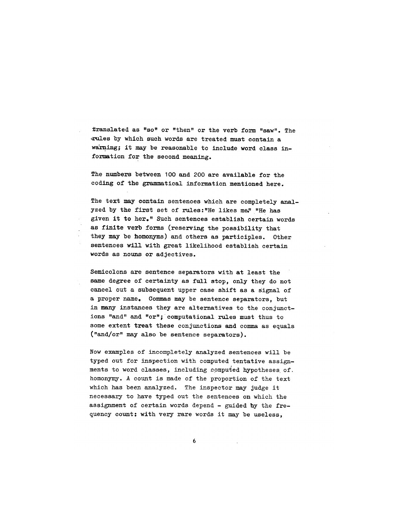translated as "so" or "then" or the verb form "saw". The ~r~les by which such words are treated must contain a warning; it may be reasonable to include word class information for the second meaning.

The numbers between 100 and 200 are available for the coding of the grammatical information mentioned here.

The text may contain sentences which are completely analyzed by the first set of rules: "He likes me," "He has given it to her." Such sentences establish certain words as finite verb forms (reserving the possibility that they may be homonyms) and others as participles. Other sentences will with great likelihood establish certain words as nouns or adjectives.

Semicolons are sentence separators with at least the same degree of certainty as full stop, only they do not cancel out a subsequent upper case shift as a signal of a proper name, Commas may be sentence separators, but in many instances they are alternatives to the conjunctions "and" and "or"; computational rules must thus to some extent treat these conjunctions and comma as equals ("and/or" may also be sentence separators).

Now examples of incompletely analyzed sentences will be typed out for inspection with computed tentative assignments to word classes, including computed hypotheses of. homonymy. A count is made of the proportion of the text which has been analyzed. The inspector may judge it necessary to have typed out the sentences on which the assignment of certain words depend - guided hy the frequency count: with very rare words it may be useless,

6